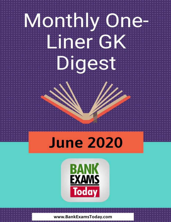# Monthly One-Liner GK Digest

## **June 2020**

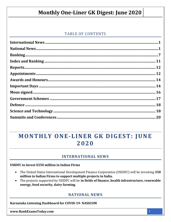#### **TABLE OF CONTENTS**

## MONTHLY ONE-LINER GK DIGEST: JUNE 2020

#### **INTERNATIONAL NEWS**

#### <span id="page-1-0"></span>**USIDFC to Invest \$350 million in Indian Firms**

- The United States International Development Finance Corporation (USIDFC) will be investing 350 million in Indian Firms to support multiple projects in India.
- The projects supported by USIDFC will be in fields of finance, health infrastructure, renewable energy, food security, dairy farming.

#### **NATIONAL NEWS**

<span id="page-1-1"></span>Karnataka Listening Dashboard for COVID-19-NASSCOM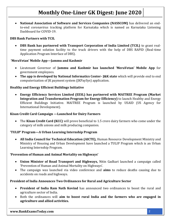**National Association of Software and Services Companies (NASSCOM)** has delivered an endto-end coronavirus tracking platform for Karnataka which is named as Karnataka Listening Dashboard for COVID-19.

#### **DBS Bank Partners with TCIL**

 **DBS Bank has partnered with Transport Corporation of India Limited (TCIL)** to grant realtime payment solution facility to the truck drivers with the help of DBS RAPID (Real-time Application Program Interface of DBS).

#### **'MeraVetan' Mobile App—Jammu and Kashmir**

- Lieutenant Governor of **Jammu and Kashmir has launched 'MeraVetan' Mobile App** for government employees.
- **The app is developed by National Informatics Center- J&K state** which will provide end to end computerization of JK payment system (JKPaySys) application.

#### **Healthy and Energy Efficient Buildings Initiative**

 **Energy Efficiency Services Limited (EESL) has partnered with MAITREE Program (Market Integration and Transformation Program for Energy Efficiency)** to launch Healthy and Energy Efficient Buildings Initiative. MAITREE Program is launched by USAID (US Agency for International Development).

#### **Kisan Credit Card Campaign —Launched for Dairy Farmers**

 The **Kisan Credit Card (KCC)** will prove beneficial to 1.5 crore dairy farmers who come under the category of milk unions and milk producing companies.

#### **'TULIP' Program—A Urban Learning Internship Program**

 **All India Council for Technical Education (AICTE),** Human Resource Development Ministry and Ministry of Housing and Urban Development have launched a TULIP Program which is an Urban Learning Internship Program.

#### **'Prevention of Human and Animal Mortality on Highways'**

- **Union Minister of Road Transport and Highways,** Nitin Gadkari launched a campaign called 'Prevention of Human and Animal Mortality on Highways'.
- The campaign was launched via video conference and **aims** to reduce deaths causing due to accidents on roads and highways.

#### **President of India Announces Two Ordinances for Rural and Agriculture Sector**

- **President of India Ram Nath Kovind** has announced two ordinances to boost the rural and agriculture sector of India.
- Both the ordinances will **aim to boost rural India and the farmers who are engaged in agriculture and allied activities.**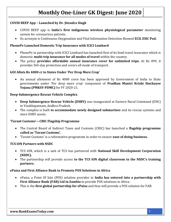#### **COVID BEEP App – Launched by Dr. Jitendra Singh**

- COVID BEEP app is **India's first indigenous wireless physiological parameter** monitoring system for coronavirus patients.
- Its acronym is Continuous Oxygenation and Vital Information Detection Biomed **ECIL ESIC Pod.**

#### **PhonePe Launched Domestic Trip Insurance with ICICI Lombard**

- PhonePe in partnership with ICICI Lombard has launched first of its kind travel insurance which is domestic **multi-trip insurance for all modes of travel** within the country.
- The policy **provides affordable annual insurance cover for unlimited trips.** At Rs 499, it provides 365-day protection and covers all mode of transport.

#### **GOI Allots Rs 4000 cr to States Under 'Per Drop More Crop'**

 An annual allotment of Rs 4000 crore has been approved by Government of India to State governments under 'Per drop more crop' component of **Pradhan Mantri Krishi Sinchayee Yojana (PMKSY-PDMC)** for FY 2020-21.

#### **Deep Submergence Rescue Vehicle Complex**

- **Deep Submergence Rescue Vehicle (DSRV)** was inaugurated at Eastern Naval Command (ENC) in Visakhapatnam, Andhra Pradesh.
- The complex is built **to accommodate newly designed submarines** and its rescue systems and store DSRV assets.

#### **'Turant Customs'—CBIC Flagship Programme**

- The Central Board of Indirect Taxes and Customs (CBIC) has launched a **flagship programme called as 'Turant Customs'.**
- 'Turant Customs' is a reformative programme in order to ensure **ease of doing business.**

#### **TCS iON Partners with NSDC**

- TCS iON, which is a unit of TCS has partnered with **National Skill Development Corporation (NSDC).**
- The partnership will provide access **to the TCS iON digital classroom to the NSDC's training partners.**

#### **ePaisa and First Alliance Bank to Promote POS Solutions in Africa**

- ePaisa, a Point Of Sale (POS) solution provider in **India has entered into a partnership with First Alliance Bank (FAB) Ltd in Zambia** to provide POS solutions in Africa.
- This is the **first global partnership for ePaisa** and thus will provide a POS solution for FAB.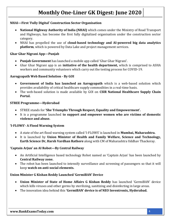#### **NHAI—First 'Fully Digital' Construction Sector Organisation**

- **National Highway Authority of India (NHAI)** which comes under the Ministry of Road Transport and Highways, has become the first fully digitalized organisation under the construction sector category.
- NHAI has propelled the use of **cloud-based technology and AI-powered big data analytics platform**, which is powered by Data Lake and project management services.

#### **Ghar Ghar Nigrani App—Punjab**

- **Punjab Government** has launched a mobile app called 'Ghar Ghar Nigrani'.
- Ghar Ghar Nigrani app is an **initiative of the health department,** which is comprised to ASHA workers and community volunteers which carry out the testing process for COVID-19.

#### **Aarogyapath Web Based Solution - By GOI**

- **Government of India has launched an Aarogyapath** which is a web-based solution which provides availability of critical healthcare supply commodities in a real-time basis.
- The web-based solution is made available by GOI on **CSIR National Healthcare Supply Chain Portal.**

#### **STREE Programme—Hyderabad**

- STREE stands for **'She Triumphs Through Respect, Equality and Empowerment'.**
- It is a programme launched **to support and empower women who are victims of domestic violence and abuse.**

#### **'I-FLOWS'- A Flood Warning System**

- A state of the art flood warning system called 'I-FLOWS' is launched in **Mumbai, Maharashtra.**
- It is launched by **Union Minister of Health and Family Welfare, Science and Technology, Earth Science Dr, Harsh Vardhan Rathore** along with CM of Maharashtra Uddhav Thackeray.

#### **'Captain Arjun' an AI Robot—By Central Railway**

- An Artificial Intelligence based technology Robot named as 'Captain Arjun' has been launched by **Central Railway zone.**
- The robot has been launched to intensify surveillance and screening of passengers so that it will keep **watch on anti-social elements.**

#### **Union Minister G Kishan Reddy Launched 'GermiBAN' Device**

- **Union Minister of State of Home Affairs G Kishan Reddy** has launched 'GermiBAN' device which kills viruses and other germs by sterilizing, sanitizing and disinfecting in large areas.
- The innovation idea behind this **'GermiBAN' device is of NEO Inventronix, Hyderabad.**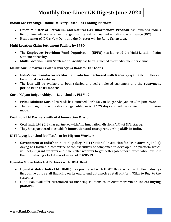#### **Indian Gas Exchange- Online Delivery Based Gas Trading Platform**

- **Union Minister of Petroleum and Natural Gas, Dharmendra Pradhan** has launched India's first online delivery based natural gas trading platform named as Indian Gas Exchange (IGX).
- Headquarter of IGX is New Delhi and the Director will be **Rajiv Srivastava.**

#### **Multi Location Claim Settlement Facility by EPFO**

- The **Employees Provident Fund Organisation (EPFO)** has launched the Multi-Location Claim Settlement Facility.
- **Multi-Location Claim Settlement Facility** has been launched to expedite member claims.

#### **Maruti Suzuki partners with Karur Vysya Bank for Car Loans**

- **India's car manufacturers Maruti Suzuki has partnered with Karur Vysya Bank** to offer car loans for Maruti vehicles.
- The loan will be available to both salaried and self-employed customers and the **repayment period is up to 84 months.**

#### **Garib Kalyan Rojgar Abhiyan--Launched by PM Modi**

- **Prime Minister Narendra Modi** has launched Garib Kalyan Rojgar Abhiyan on 20th June 2020.
- The campaign of Garib Kalyan Rojgar Abhiyan is of **125 days** and will be carried out in mission mode.

#### **Coal India Ltd Partners with Atal Innovation Mission**

- **Coal India Ltd (CIL)** has partnered with Atal Innovation Mission (AIM) of NITI Aayog.
- They have partnered to establish **innovation and entrepreneurship skills in India.**

#### **NITI Aayog launched Job Platform for Migrant Workers**

 **Government of India's think tank policy, NITI (National Institution for Transforming India)** Aayog has formed a committee of top executives of companies to develop a job platform which will help migrant workers and blue-collar workers to get better job opportunities who have lost their jobs during a lockdown situation of COVID-19.

#### **Hyundai Motor India Ltd Partners with HDFC Bank**

- **Hyundai Motor India Ltd (HMIL) has partnered with HDFC Bank** which will offer industryfirst online auto retail financing on its end to end automotive retail platform 'Click to Buy' to the customer.
- HDFC Bank will offer customized car financing solutions **to its customers via online car buying platform.**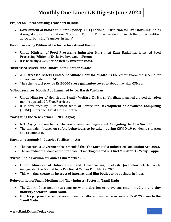#### **Project on 'Decarbonising Transport in India'**

 **Government of India's think tank policy, NITI (National Institution for Transforming India) Aayog** along with International Transport Forum (ITF) has decided to launch the project entitled as 'Decarbonising Transport in India'.

#### **Food Processing Edition of Exclusive Investment Forum**

- **Union Minister of Food Processing Industries Harsimrat Kaur Badal** has launched Food Processing Edition of Exclusive Investment Forum.
- It is basically a webinar **hosted by Invest in India.**

#### **'Distressed Assets Fund-Subordinate Debt for MSMEs'**

- A **'Distressed Assets Fund-Subordinate Debt for MSMEs'** is the credit guarantee scheme for sub-ordinate debt (CGSSD).
- The scheme will provide **Rs 20000 crore guarantee cover** to about two lakh MSMEs.

#### **'eBloodServices' Mobile App Launched by Dr. Harsh Vardhan**

- **Union Minister of Health and Family Welfare, Dr Harsh Vardhan** launched a blood donation mobile app called 'eBloodServices'.
- It is developed by **E-Raktkosh team of Centre for Development of Advanced Computing (CDAC)** under the Digital India initiative.

#### **'Navigating the New Normal'--- NITI Aayog**

- NITI Aayog has launched a behaviour change campaign called **'Navigating the New Normal'.**
- The campaign focuses on **safety behaviours to be taken during COVID-19** pandemic situation and to combat it.

#### **Karnataka Amends Industries Facilitation Act**

- The Karnataka Government has amended the **'The Karnataka Industries Facilitation Act, 2002.**
- The amendment is done at the state cabinet meeting chaired by **Chief Minister B S Yediyurappa.**

#### **'Virtual India Pavilion at Cannes Film Market 2020'**

- **Union Minister of Information and Broadcasting Prakash Javadekar** electronically inaugurated the 'Virtual India Pavilion at Cannes Film Market 2020'.
- This will thus **create an interest of international film bodies** to do business in India.

#### **Rejuvenation of Small, Medium and Tiny Industry Sector in Tamil Nadu**

- The Central Government has come up with a decision to rejuvenate **small, medium and tiny industry sector in Tamil Nadu.**
- For this purpose, the central government has allotted financial assistance of **Rs 4125 crore to the Tamil Nadu.**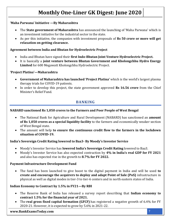#### **'Maha Parwana' Initiative —By Maharashtra**

- The **State government of Maharashtra** has announced the launching of 'Maha Parwana' which is an investment initiative for the industrial sector in the state.
- As per this initiative, the companies with investment proposals of **Rs 50 crore or more will get relaxation on getting clearance.**

#### **Agreement between India and Bhutan for Hydroelectric Project**

- India and Bhutan have signed their **first Indo-Bhutan Joint Venture Hydroelectric Project.**
- It is basically a **joint venture between Bhutan Government and Kholongchhu Hydro Energy Limited** for 600 Megawatt Kholongchhu Hydroelectric Project.

#### **'Project Platina'—Maharashtra**

- **Government of Maharashtra has launched 'Project Platina'** which is the world's largest plasma therapy trials for COVID-19 patients.
- In order to develop this project, the state government approved **Rs 16.56 crore** from the Chief Minister's Relief Fund.

#### **BANKING**

#### <span id="page-7-0"></span>**NABARD sanctioned Rs 1,050 crores to the Farmers and Poor People of West Bengal**

- The National Bank for Agriculture and Rural Development (NABARD) has sanctioned an **amount of Rs 1,050 crores as a special liquidity facility** to the farmers and economically weaker section of West Bengal state.
- The amount will help **to ensure the continuous credit flow to the farmers in the lockdown situation of COVID-19.**

#### **India's Sovereign Credit Rating lowered to Baa3- By Moody's Investor Service**

- Moody's Investor Service has **lowered India's Sovereign Credit Rating** lowered to Baa3.
- Moody's Investor Service has also expected contraction by **4% in India's real GDP for FY 2021** and also has expected rise in the growth to **8.7% for FY 2022.**

#### **Payment Infrastructure Development Fund**

 The fund has been launched to give boost to the digital payment in India and will be used **to create and encourage the acquirers to deploy and adapt Point of Sale (PoS)** infrastructure in physical as well as digital modes in tier-3 to tier-6 centers and in north eastern states of India.

#### **Indian Economy to Contract by 1.5% in FY21—By RBI**

- The Reserve Bank of India has released a survey report describing that **Indian economy to contract 1.5% for the financial year of 2021.**
- The **real gross fixed capital formation (GFCF)** has registered a negative growth of 6.4% for FY 2020-21. However, it is expected to grow by 5.6% in 2021-22.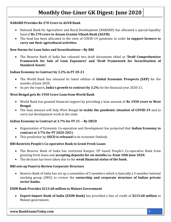#### **NABARD Provides Rs 270 Crore to AGVB Bank**

- National Bank for Agriculture and Rural Development (NABARD) has allocated a special liquidity fund of **Rs 270 crore to Assam Gramin Vikash Bank (AGVB).**
- The fund has been allocated in the view of COVID-19 pandemic in order **to support farmers to carry out their agricultural activities.**

#### **New Norms for Loan Sales and Securitisations—By RBI**

 The Reserve Bank of India has released two draft documents titled as **'Draft Comprehensive Framework for Sale of Loan Exposures' and 'Draft Framework for Securitisation of Standard Assets'.**

#### **Indian Economy to Contract by 3.2% in FY 20-21**

- The World Bank has released its latest edition of **Global Economic Prospects (GEP)** for the months of June 2020.
- As per the report**, India's growth to contract by 3.2%** for the financial year 2020-21.

#### **West Bengal gets Rs 1950 Crore Loan from World Bank**

- World Bank has granted financial support by providing a loan amount of **Rs 1950 crore to West Bengal.**
- The loan amount will help West Bengal **to tackle the pandemic situation of COVID-19** and to carry out development work in the state.

#### **Indian Economy to Contract at 3.7% for FY 21 -- By OECD**

- Organisation of Economic Co-operation and Development has projected that **Indian Economy to contract at 3.7% for FY 2020-2021.**
- This prediction by **OECD is released** in its economic Outlook.

#### **RBI Restricts People's Co-operative Bank to Grant Fresh Loans**

- The Reserve Bank of India has restricted Kanpur, UP based People's Co-operative Bank from granting fresh loans and **accepting deposits for six months i.e. from 10th June 2020.**
- The decision has been taken due to the **weak financial status of the bank.**

#### **RBI sets up Panel to Review Corporate Structure**

 Reserve Bank of India has set up a committee of 5 members which is basically a 5 member internal working group (IWG) to review the **ownership and corporate structure of Indian private sector banks.**

#### **EXIM Bank Provides \$215.68 million to Malawi Government**

 **Export-Import Bank of India (EXIM Bank)** has provided a line of credit of **\$215.68 million** to Malawi government.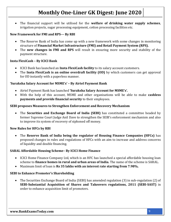The financial support will be utilised for the **welfare of drinking water supply schemes**, irrigation projects, sugar processing equipment, cotton processing facilities etc.

#### **New Framework for FMI and RPS--- By RBI**

- The Reserve Bank of India has come up with a new framework with some changes in monitoring structure of **Financial Market Infrastructure (FMI) and Retail Payment System (RPS).**
- The **new changes in FMI and RPS** will result in ensuring more security and stability of the payment structure.

#### **Insta FlexiCash – By ICICI Bank**

- ICICI Bank has launched an **Insta FlexiCash facility** to its salary account customers.
- The **Insta FlexiCash is an online overdraft facility (OD)** by which customers can get approval for OD instantly with a paperless manner.

#### **'Suraksha Salary Account for MSME's' – By Airtel Payment Bank**

- Airtel Payment Bank has launched **'Suraksha Salary Account for MSME's'.**
- With the help of this account, MSME and other organisations will be able to make **cashless payments and provide financial security** to their employees.

#### **SEBI proposes Measures to Strengthen Enforcement and Recovery Mechanism**

 The **Securities and Exchange Board of India (SEBI)** has constituted a committee headed by former Supreme Court Judge Anil Dave to strengthen the SEBI's enforcement mechanism and also to improve its system of recovery of siphoned off money.

#### **New Rules for HFCs by RBI**

 The **Reserve Bank of India being the regulator of Housing Finance Companies (HFCs)** has proposed changes in rules and regulations of HFCs with an aim to increase and address concerns of liquidity and double financing.

#### **SARAL Affordable Housing Scheme– By ICICI Home Finance**

- ICICI Home Finance Company Ltd, which is an HFC has launched a special affordable housing loan scheme to **finance homes in rural and urban areas of India.** The name of the scheme is SARAL.
- Maximum limit of loan is **Rs 35 lakhs with an interest rate starting from 7.98%.**

#### **SEBI to Enhance Promoter's Shareholding**

 The Securities Exchange Board of India (SEBI) has amended regulation (3) in sub-regulation (2) of **SEBI-Substantial Acquisition of Shares and Takeovers regulations, 2011 (SEBI-SAST)** in order to enhance acquisition limit of promoters.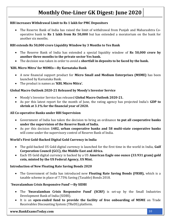#### **RBI increases Withdrawal Limit to Rs 1 lakh for PMC Depositors**

 The Reserve Bank of India has raised the limit of withdrawal from Punjab and Maharashtra Cooperative bank to **Rs 1 lakh from Rs 50,000** but has extended a moratorium on the bank for another six months.

#### **RBI extends Rs 50,000 crore Liquidity Window by 3 Months to Yes Bank**

- The Reserve Bank of India has extended a special liquidity window of **Rs 50,000 crore by another three months to the private sector Yes bank.**
- The decision was taken in order to avoid a **shortfall in deposits to be faced by the bank.**

#### **'KBL Micro Mitra' for MSMEs—By Karnataka Bank**

- A new financial support product for **Micro Small and Medium Enterprises (MSME)** has been launched by Karnataka Bank.
- The product is names as **'KBL Micro Mitra'.**

#### **Global Macro Outlook 2020-21 Released by Moody's Investor Service**

- Moody's Investor Service has released **Global Macro Outlook 2020-21.**
- As per this latest report for the month of June, the rating agency has projected India's **GDP to shrink at 3.1% for the financial year of 2020.**

#### **All Co-operative Banks under RBI Supervision**

- Government of India has taken the decision to bring an ordinance **to put all cooperative banks under the supervision of the Reserve Bank of India.**
- As per this decision **1482, urban cooperative banks and 58 multi-state cooperative banks** will come under the supervisory control of Reserve Bank of India.

#### **World's First Gold-Backed Digital Gold Currency in India**

- The gold-backed US Gold digital currency is launched for the first time in the world in India, **Gulf Corporation Council (GCC), the Middle East and Africa.**
- Each US Gold digital currency is backed by a US **American Eagle one ounce (33.931 gram) gold coin, minted by the US Federal Agency, US Mint.**

#### **Introduction of New Floating Rate Saving Bonds 2020**

 The Government of India has introduced new **Floating Rate Saving Bonds (FRSB),** which is a taxable scheme in place of 7.75% Saving (Taxable) Bonds 2018.

#### **'Swavalamban Crisis Responsive Fund'—By SIDBI**

- The **'Swavalamban Crisis Responsive Fund' (SCRF)** is set-up by the Small Industries Development Bank of India (SIDBI).
- It is an **open-ended fund to provide the facility of free onboarding of MSME** on Trade Receivables Discounting System (TReDS) platform.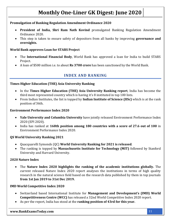#### **Promulgation of Banking Regulation Amendment Ordinance 2020**

- **President of India, Shri Ram Nath Kovind** promulgated Banking Regulation Amendment Ordinance 2020.
- This step is taken to ensure safety of depositors from all banks by improving **governance and oversights.**

#### **World Bank approves Loan for STARS Project**

- The **International Financial Body**, World Bank has approved a loan for India to build STARS Project.
- <span id="page-11-0"></span>A loan of \$500 million i.e. to about **Rs 3700 crore** has been sanctioned by the World Bank.

#### **INDEX AND RANKING**

#### **Times Higher Education (THE) Asia University Ranking**

- In the **Times Higher Education (THE) Asia University Ranking report**, India has become the third most represented country which is having it's 8 instituted in top 100 lists.
- From Indian Institutes, the list is topped by **Indian Institute of Science (IISc)** which is at the rank position of 36th.

#### **Environment Performance Index 2020**

- **Yale University and Columbia University** have jointly released Environment Performance Index 2020 (EPI 2020).
- India has ranked at **168th position among 180 countries with a score of 27.6 out of 100** in Environment Performance Index 2020.

#### **QS World University Ranking 2021**

- Quacquarelli Symonds (QC) **World University Ranking for 2021 is released**.
- The ranking is topped by **Massachusetts Institute for Technology (MIT)** followed by Stanford University and Harvard University.

#### **2020 Nature Index**

 The **Nature Index 2020 highlights the ranking of the academic institutions globally.** The current released Nature Index 2020 report analyses the institutions in terms of high quality research in the natural science field based on the research data published by them in top journals **from 1st Jan 2019 to 31st Dec 2019.**

#### **IMD World Competitive Index 2020**

- Switzerland based International Institute for **Management and Development's (IMD) World Competitiveness Centre (WCC)** has released a 32nd World Competitive Index 2020 report.
- As per the report, India has stood at the **ranking position of 43rd for this year.**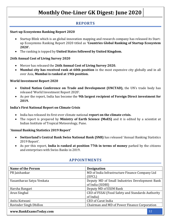#### **REPORTS**

#### <span id="page-12-0"></span>**Start-up Ecosystems Ranking Report 2020**

- Startup Blink which is an global innovation mapping and research company has released its Startup Ecosystems Ranking Report 2020 titled as **'Countries Global Ranking of Startup Ecosystem 2020'.**
- The ranking is topped by **United States followed by United Kingdom.**

#### **26th Annual Cost of Living Survey 2020**

- Mercer has released the **26th Annual Cost of Living Survey 2020.**
- **Mumbai city has received rank at 60th position** in the most expensive city globally and in all over Asia, **Mumbai is ranked at 19th position.**

#### **World Investment Report 2020**

- **United Nation Conference on Trade and Development (UNCTAD),** the UN's trade body has released 'World Investment Report 2020'.
- As per the report, India has become the **9th largest recipient of Foreign Direct investment for 2019.**

#### **India's First National Report on Climate Crisis**

- India has released its first-ever climate national **report on the climate crisis.**
- The report is prepared by **Ministry of Earth Science (MoES)** and it is edited by a scientist at Indian Institute of Tropical Meteorology, Pune.

#### **'Annual Banking Statistics 2019 Report'**

- **Switzerland's Central Bank Swiss National Bank (SNB)** has released 'Annual Banking Statistics 2019 Report'.
- As per this report, **India is ranked at position 77th in terms of money** parked by the citizens and enterprises with Swiss Banks in 2019.

<span id="page-12-1"></span>

| <b>Name of the Person</b> | <b>Designation</b>                                |
|---------------------------|---------------------------------------------------|
| PR Jaishankar             | MD of India Infrastructure Finance Company Ltd    |
|                           | (IIFCL)                                           |
| Vasantharao Satya Venkata | Deputy MD of Small Industries Development Bank    |
|                           | of India (SIDBI)                                  |
| Harsha Bangari            | Deputy MD of EXIM Bank                            |
| Arun Singhal              | CEO of FSSAI (Food Safety and Standards Authority |
|                           | of India)                                         |
| Anita Kotwani             | <b>CEO of Carat India</b>                         |
| Ravinder Singh Dhillon    | Chairman and MD of Power Finance Corporation      |

#### **APPOINTMENTS**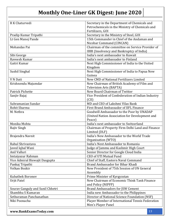| R K Chaturvedi                   | Secretary in the Department of Chemicals and<br>Petrochemicals in the Ministry of Chemicals and |  |
|----------------------------------|-------------------------------------------------------------------------------------------------|--|
|                                  | Fertilizers, GOI                                                                                |  |
| Pradip Kumar Tripathi            | Secretary in the Ministry of Steel, GOI                                                         |  |
| Lt Gen Manoj Pande               | 15th Commander in Chief of the Andaman and<br>Nicobar Command (CINCAN)                          |  |
| Mohandas Pai                     | Chairman of the committee on Service Provider of<br>IBBI (Insolvency and Bankruptcy of India)   |  |
| Sibi George                      | India's next ambassador to Kuwait                                                               |  |
| Raveesh Kumar                    | India's next ambassador to Finland                                                              |  |
| Gaitri Kumar                     | Next High Commissioner of India to the United<br>Kingdom                                        |  |
| Sushil Singhal                   | Next High Commissioner of India to Papua New<br>Guinea                                          |  |
| V N Datt                         | New CMD of National Fertilizers Limited                                                         |  |
| Krishnendu Majumdar              | New Chairman of British Academy of Film and<br><b>Television Arts (BAFTA)</b>                   |  |
| Patrick Pichette                 | New Board Chairman of Twitter                                                                   |  |
| Sanjiv Bajaj                     | Vice President of Confederation of Indian Industry                                              |  |
|                                  | (CII)                                                                                           |  |
| Subramanian Sundar               | MD and CEO of Lakshmi Vilas Bank                                                                |  |
| Rohit Sharma                     | First Brand Ambassador of IIFL Finance                                                          |  |
| M. Nethra                        | Goodwill Ambassador to the Poor by UNADAP                                                       |  |
|                                  | (United Nation Association for Development and<br>Peace)                                        |  |
| Monika Mohta                     | India's next ambassador to Switzerland                                                          |  |
| Rajiv Singh                      | Chairman of Property Firm Delhi Land and Finance<br>Limited (DLF)                               |  |
| Brajendra Navnit                 | India's New Ambassador to the World Trade<br>Organisation (WTO)                                 |  |
| Rahul Shrivastava                | India's Next Ambassador to Romania                                                              |  |
| Javed Iqbal Wani                 | Judge of Jammu and Kashmir High Court                                                           |  |
| Anil Valluri                     | Senior Director for Google Cloud India                                                          |  |
| Imtaiyazur Rahman                | <b>CEO of UTI Mutual Fund</b>                                                                   |  |
| Vice Admiral Biswajit Dasgupta   | Chief of Staff, Eastern Naval Command                                                           |  |
| Pankaj Tripathi                  | Brand Ambassador for Bihar Khadi                                                                |  |
| Volkan Bozkir                    | New President of 75th Session of UN General                                                     |  |
|                                  | Assembly                                                                                        |  |
| <b>Kubatbek Boronov</b>          | Prime Minister of Kyrgyzstan                                                                    |  |
| Urjit Patel                      | New Chairman of Economic Think Tank Finance<br>and Policy (NIPFP)                               |  |
| Sourav Ganguly and Sunil Chhetri | <b>Brand Ambassadors for JSW Cement</b>                                                         |  |
| Shambhu S Kumaran                | India new Ambassador to the Philippines                                                         |  |
| Sethuraman Panchanathan          | Director of National Science Foundation (NSF)                                                   |  |
| Niki Poonacha                    | Player Member of International Tennis Federation<br>Men's Player Panel                          |  |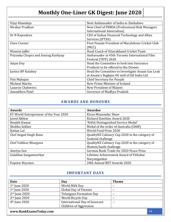| Vijay Khanduja                     | Next Ambassador of India to Zimbabwe              |
|------------------------------------|---------------------------------------------------|
| Nirakar Pradhan                    | New Chief of PRMIA (Professional Risk Managers    |
|                                    | International Association)                        |
| Dr N Rajendran                     | CEO of Indian Financial Technology and Allies     |
|                                    | Services (IFTAS)                                  |
| Clare Connor                       | First Female President of Marylebone Cricket Club |
|                                    | (MCC)                                             |
| Wassim Jaffer                      | Head Coach of Uttarakhand Cricket Team            |
| Priyanka Chopra and Anurag Kashyap | Ambassador at 45th Toronto International Film     |
|                                    | Festival (TIFF) 2020                              |
| Anjan Dey                          | Head the Committee to look into Insurance         |
|                                    | Products to be offered to the Drones              |
| Justice BP Katakey                 | Head the Committee to Investigate Assam Gas Leak  |
|                                    | at Assam's Baghjan Oil well of Oil India Ltd      |
| Vini Mahajan                       | Chief Secretary for Punjab                        |
| Micheal Martin                     | New Prime Minister of Ireland                     |
| Lazarus Chakwera                   | New President of Malawi                           |
| Anandiben Patel                    | Governor of Madhya Pradesh                        |

#### **AWARDS AND HONOURS**

<span id="page-14-0"></span>

| <b>Awards</b>                          | Awardee                                        |  |
|----------------------------------------|------------------------------------------------|--|
| EY World Entrepreneur of the Year 2020 | Kiran Mazumdar Shaw                            |  |
| Javed Akhtar                           | Richard Dawkins Award 2020                     |  |
| Renjith Kumar                          | 'NASA Distinguished Service Medal'             |  |
| Shobha Sekhar                          | Medal of the order of Australia (OAM)          |  |
| Rattan Lal                             | World Food Prize 2020                          |  |
| Chef Angad Singh Rana                  | QualityNZ Culinary Cup 2020 in the category of |  |
|                                        | Seafood challenge                              |  |
| Chef Vaibhay Bhargaya                  | QualityNZ Culinary Cup 2020 in the category of |  |
|                                        | Mutton/lamb challenge                          |  |
| Amrtya Sen                             | German Book Trade for 2020 Peace Prize         |  |
| Gulabbai Sangamnerkar                  | Lifetime Achievement Award of Vithabai         |  |
|                                        | Naryangaokar                                   |  |
| Popstar Beyonce                        | 20th Annual BET Awards 2020                    |  |

#### **IMPORTANT DAYS**

<span id="page-14-1"></span>

| <b>Date</b>               | Day                            | <b>Theme</b> |
|---------------------------|--------------------------------|--------------|
| $1st$ June 2020           | World Milk Day                 | $- -$        |
| $1st$ June 2020           | <b>Global Day of Parents</b>   | $- -$        |
| $2nd$ June 2020           | <b>Telangana Formation Day</b> | $- -$        |
| 3rd June 2020             | World Bicycle Day              | $- -$        |
| 4 <sup>th</sup> June 2020 | International Day of Innocent  | --           |
|                           | Children of Aggression         |              |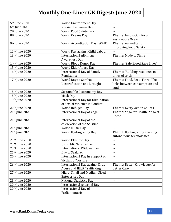<span id="page-15-0"></span>

| 5 <sup>th</sup> June 2020  | <b>World Environment Day</b>             | $\sim$ $-$                         |
|----------------------------|------------------------------------------|------------------------------------|
| 6th June 2020              | Russian Language Day                     | $-1$                               |
| 7 <sup>th</sup> June 2020  | World Food Safety Day                    | --                                 |
| 8 <sup>th</sup> June 2020  | World Oceans Day                         | <b>Theme:</b> Innovation for a     |
|                            |                                          | Sustainable Ocean                  |
| 9th June 2020              | World Accreditation Day (WAD)            | Theme: Accreditation:              |
|                            |                                          | <b>Improving Food Safety</b>       |
| 12 <sup>th</sup> June 2020 | World Day against Child Labour           |                                    |
| 13th June 2020             | <b>International Albinism</b>            | Theme: Made to Shine               |
|                            | <b>Awareness Day</b>                     |                                    |
| 14th June 2020             | World Blood Donor Day                    | Theme: 'Safe Blood Save Lives'     |
| 15th June 2020             | World Elder Abuse Day                    |                                    |
| 16th June 2020             | <b>International Day of Family</b>       | Theme: 'Building resilience in     |
|                            | Remittance                               | times of crisis                    |
| 17th June 2020             | World Day to Combat                      | Theme: Food, Feed, Fibre-The       |
|                            | Desertification and Drought              | links between consumption and      |
|                            |                                          | land                               |
| 18th June 2020             | Sustainable Gastronomy Day               | $-$                                |
| 18th June 2020             | Mask Day                                 | $\sim$ $\sim$                      |
| 19th June 2020             | <b>International Day for Elimination</b> | $-$                                |
|                            | of Sexual Violence in Conflict           |                                    |
| 20th June 2020             | World Refugee Day                        | <b>Theme:</b> Every Action Counts  |
| 21st June 2020             | <b>International Day of Yoga</b>         | Theme: Yoga for Health- Yoga at    |
|                            |                                          | Home                               |
| 21st June 2020             | International Day of the                 | $- -$                              |
|                            | celebration of the Solstice              |                                    |
| 21st June 2020             | <b>World Music Day</b>                   | $\sim$ $\sim$                      |
| 21st June 2020             | World Hydrography Day                    | Theme: Hydrography enabling        |
|                            |                                          | autonomous technologies            |
| 23rd June 2020             | World Olympic Day                        | $\sim$ $\sim$                      |
| 23rd June 2020             | <b>UN Public Service Day</b>             | $\mathbb{H}^{\perp}$               |
| 23rd June 2020             | <b>International Widows Day</b>          |                                    |
| 25 <sup>th</sup> June 2020 | Day of Seafarer                          | ۰-                                 |
| 26th June 2020             | International Day in Support of          | $\sim$ $-$                         |
|                            | <b>Victims of Torture</b>                |                                    |
| 26th June 2020             | <b>International Day against Drug</b>    | <b>Theme: Better Knowledge for</b> |
|                            | Abuse and Illicit Trafficking            | <b>Better Care</b>                 |
| 27th June 2020             | Micro, Small and Medium Sized            | $\overline{\phantom{a}}$           |
|                            | <b>Enterprises Day</b>                   |                                    |
| 29th June 2020             | <b>National Statistics Day</b>           | $- -$                              |
| 30th June 2020             | <b>International Asteroid Day</b>        | ۰-                                 |
| 30th June 2020             | International Day of                     |                                    |
|                            | Parliamentarism                          |                                    |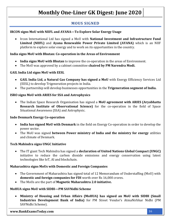#### **MOUS SIGNED**

#### **IRCON signs MoU with NIIFL and AYANA—To Explore Solar Energy Usage**

 Ircon International Ltd has signed a MoU with **National Investment and Infrastructure Fund Limited (NIIFL)** and **Ayana Renewable Power Private Limited (AYANA)** which is an NIIF platform to explore solar energy and to work on its opportunities in the country.

#### **India signs MoU with Bhutan: Co-operation in the Areas of Environment**

- **India signs MoU with Bhutan** to improve the co-operation in the areas of Environment.
- The MoU was approved by a cabinet committee **chaired by PM Narendra Modi.**

#### **GAIL India Ltd signs MoU with EESL**

- **GAIL India Ltd, a Natural Gas Company has signed a MoU** with Energy Efficiency Services Ltd (EESL) to develop Trigeneration projects in India.
- The partnership will develop businesses opportunities in the **Trigeneration segment of India.**

#### **ISRO signs MoU with ARIES for SSA and Astrophysics**

 The Indian Space Research Organisation has signed a **MoU agreement with ARIES (Aryabhatta Research Institute of Observational Science)** for the co-operation in the field of Space Situational Awareness (SSA) and Astrophysic.

#### **Indo Denmark Energy Co-operation**

- **India has signed MoU with Denmark** in the field on Energy Co-operation in order to develop the power sector.
- The MoU was signed **between Power ministry of India and the ministry for energy** utilities and climate of Denmark.

#### **Tech Mahindra signs UNGC Initiative**

 The IT giant Tech Mahindra has signed a **declaration of United Nations Global Compact (UNGC)**  initiative to reduce the carbon dioxide emissions and energy conservation using latest technologies like IoT, AI and blockchain.

#### **Maharashtra signs MoUs with Domestic and Foreign Companies**

- The Government of Maharashtra has signed total of 12 Memorandum of Understaffing (MoU) with **domestic and foreign companies for FDI** worth over Rs 16,000 crores.
- The MoUs are the part of **Magnetic Maharashtra 2.0 initiative.**

#### **MoHUA signs MoU with SIDBI—PM SAVNidhi Scheme**

 **Ministry of Housing and Urban Affairs (MoHUA) has signed an MoU with SIDBI (Small Industries Development Bank of India)** for PM Street Vendor's AtmaNirbhar Nidhi (PM SAVNidhi Scheme).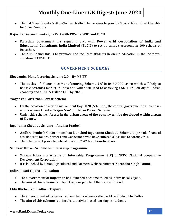The PM Street Vendor's AtmaNirbhar Nidhi Scheme **aims** to provide Special Micro-Credit Facility for Street Vendors.

#### **Rajasthan Government signs Pact with POWERGRID and EdCIL**

- Rajasthan Government has signed a pact with **Power Grid Corporation of India and Educational Consultants India Limited (EdCIL)** to set up smart classrooms in 100 schools of Rajasthan.
- The **aim** behind this is to promote and inculcate students in online education in the lockdown situation of COVID-19.

#### **GOVERNMENT SCHEMES**

#### <span id="page-17-0"></span>**Electronics Manufacturing Scheme 2.0—By MEITY**

 The **outlay of 'Electronics Manufacturing Scheme 2.0' is Rs 50,000 crore** which will help to boost electronics market in India and which will lead to achieving USD 1 Trillion digital Indian economy and a USD 5 Trillion GDP by 2025.

#### **'Nagar Van' or 'Urban Forest' Scheme**

- On the occasion of World Environment Day 2020 (5th June), the central government has come up with a scheme titled as **'Nagar Van' or 'Urban Forest' Scheme.**
- Under this scheme , forests in the **urban areas of the country will be developed within a span of 5 years.**

#### **Jagananna Chedodu Scheme—Andhra Pradesh**

- **Andhra Pradesh Government has launched Jagananna Chedodu Scheme** to provide financial assistance to tailors, barbers and washermen who have suffered a loss due to coronavirus.
- The scheme will prove beneficial to about **2.47 lakh beneficiaries.**

#### **Sahakar Mitra—Scheme on Internship Programme**

- Sahakar Mitra is a **Scheme on Internship Programme (SIP)** of NCDC (National Cooperative Development Corporation).
- It is launched by Union Agricultural and Farmers Welfare Minister **Narendra Singh Tomar.**

#### **Indira Rasoi Yojana—Rajasthan**

- The **Government of Rajasthan** has launched a scheme called as Indira Rasoi Yojana.
- The **aim of this scheme** is to feed the poor people of the state with food.

#### **Ektu Khelo, Ektu Padho—Tripura**

- The **Government of Tripura** has launched a scheme called as Ektu Khelo, Ektu Padho.
- The **aim of this scheme** is to inculcate activity-based learning in students.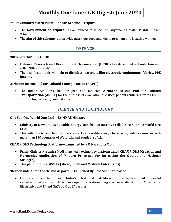#### **'Mukhyamantri Matru Pushti Uphaar' Scheme—Tripura**

- The **Government of Tripura** has announced to launch 'Mukhyamantri Matru Pushti Uphaar' Scheme.
- <span id="page-18-0"></span>The **aim of this scheme** is to provide nutritious food and kits to pregnant and lactating women.

#### **DEFENCE**

#### **'Ultra Swachh'—By DRDO**

- **Defence Research and Development Organisation (DRDO)** has developed a disinfection unit called 'Ultra Swachh'.
- The disinfection unit will help **to disinfect materials like electronic equipments, fabrics, PPE kits etc.**

#### **Airborne Rescue Pod for Isolated Transportation (ARPIT)**

 The Indian Air Force has designed and inducted **Airborne Rescue Pod for Isolated Transportation (ARPIT)** for the purpose of evacuation of critical patients suffering from COVID-19 from high altitude, isolated areas.

#### **SCIENCE AND TECHNOLOGY**

#### <span id="page-18-1"></span>**One Sun One World One Grid—By MNRE Ministry**

- **Ministry of New and Renewable Energy** launched an initiative called 'One Sun One World One Grid'.
- This initiative is launched **to interconnect renewable energy by sharing solar resources** with more than 140 countries of West Asia and South East Asia.

#### **CHAMPIONS Technology Platform—Launched by PM Narendra Modi**

- Prime Minister Narendra Modi launched a technology platform called **CHAMPIONS (Creation and Harmonics Application of Modern Processes for Increasing the Output and National Strength).**
- This platform is for **MSMEs (Micro, Small and Medium Enterprises).**

#### **'Responsible AI for Youth' and AI portal—Launched By Ravi Shankar Prasad**

 He also launched **an India's National Artificial Intelligence (AI) portal called** [www.ai.gov.in](http://www.ai.gov.in/) which is developed by National e-governance division of Ministry of Electronics and IT and NASSCOM as IT partner.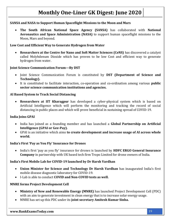#### **SANSA and NASA to Support Human Spaceflight Missions to the Moon and Mars**

 **The South African National Space Agency (SANSA)** has collaborated with **National Aeronautics and Space Administration (NASA)** to support human spaceflight missions to the Moon, Mars and beyond.

#### **Low Cost and Efficient Way to Generate Hydrogen from Water**

 **Researchers at the Centre for Nano and Soft Matter Sciences (CeNS)** has discovered a catalyst called Molybdenum Dioxide which has proven to be low Cost and efficient way to generate hydrogen from water.

#### **Joint Science Communication Forum—By DST**

- Joint Science Communication Forum is constituted by **DST (Department of Science and Technology).**
- It is constituted to facilitate interaction, co-operation and co-ordination among various **public sector science communication institutions and agencies.**

#### **AI Based System to Track Social Distancing**

 **Researchers at IIT Kharagpur** has developed a cyber-physical system which is based on Artificial Intelligence which will perform the monitoring and tracking the record of social distancing in public places and which will prove beneficial in sustaining spread of COVID-19.

#### **India Joins GPAI**

- India has joined as a founding member and has launched a **Global Partnership on Artificial Intelligence (GPAI or Gee-Pay).**
- GPAI is an initiative which aims **to create development and increase usage of AI across whole world.**

#### **India's First 'Pay as You Fly' Insurance for Drones**

 India's first 'pay as you fly' insurance for drones is launched by **HDFC ERGO General Insurance Company** in partnership with UK based tech firm Tropo Limited for drone owners of India.

#### **India's First Mobile Lab for COVID-19 launched by Dr Harsh Vardhan**

- **Union Minister for Science and Technology Dr Harsh Vardhan** has inaugurated India's first mobile disease diagnostic laboratory for COVID-19.
- I-Lab is able to conduct **COVID and Non-COVID tests as well.**

#### **MNRE forms Project Development Cell**

- **Ministry of New and Renewable Energy (MNRE)** has launched Project Development Cell (PDC) with an aim to generate investment in clean energy that is to increase solar energy usage.
- MNRE has set up this PDC under its **joint secretary Amitesh Kumar Sinha.**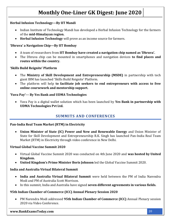#### **Herbal Infusion Technology—By IIT Mandi**

- Indian Institute of Technology Mandi has developed a Herbal Infusion Technology for the farmers of the **mid-Himalayan region.**
- **Herbal Infusion Technology** will prove as an income source for farmers.

#### **'Dhruva' a Navigation Chip—By IIT Bombay**

- A team of researchers from **IIT Bombay have created a navigation chip named as 'Dhruva'.**
- The Dhruva chip can be mounted in smartphones and navigation devices **to find places and routes within the country.**

#### **'Skills Build Reignite' Platform**

- The **Ministry of Skill Development and Entrepreneurship (MSDE)** in partnership with tech giant IBM has launched 'Skills Build Reignite' Platform.
- The platform will help **to facilitate job seekers to end entrepreneurs with access to free online coursework and mentorship support.**

#### **'Yuva Pay'--- By Yes Bank and UDMA Technologies**

 Yuva Pay is a digital wallet solution which has been launched by **Yes Bank in partnership with UDMA Technologies Pvt Ltd.**

#### **SUMMITS AND CONFERENCES**

#### <span id="page-20-0"></span>**Pan-India Real Team Market (RTM) in Electricity**

 **Union Minister of State (IC) Power and New and Renewable Energy** and Union Minister of State for Skill Development and Entrepreneurship R.K. Singh has launched Pan-India Real Team Market (RTM) in Electricity through video conference in New Delhi.

#### **Virtual Global Vaccine Summit 2020**

- Virtual Global Vaccine Summit 2020 was conducted on 4th June 2020 and **was hosted by United Kingdom.**
- **United Kingdom's Prime Minister Boris Johnson** led the Global Vaccine Summit 2020.

#### **India and Australia Virtual Bilateral Summit**

- **India and Australia Virtual Bilateral Summit** were held between the PM of India Narendra Modi and PM of Australia Scott Morrison.
- In this summit, India and Australia have signed **seven different agreements in various fields.**

#### **95th Indian Chamber of Commerce (ICC) Annual Plenary Session 2020**

 PM Narendra Modi addressed **95th Indian Chamber of Commerce (ICC)** Annual Plenary session 2020 via Video Conference.